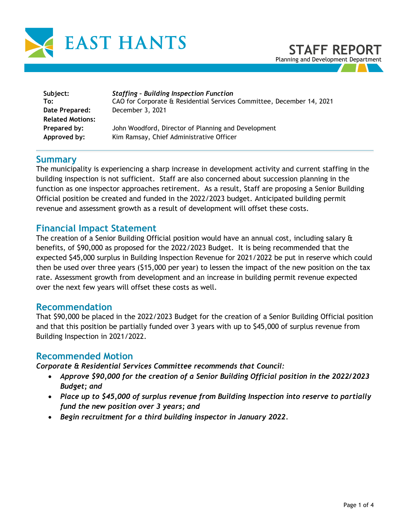

| Subject:<br>To:         | <b>Staffing - Building Inspection Function</b><br>CAO for Corporate & Residential Services Committee, December 14, 2021 |
|-------------------------|-------------------------------------------------------------------------------------------------------------------------|
| Date Prepared:          | December 3, 2021                                                                                                        |
| <b>Related Motions:</b> |                                                                                                                         |
| Prepared by:            | John Woodford, Director of Planning and Development                                                                     |
| Approved by:            | Kim Ramsay, Chief Administrative Officer                                                                                |

## **Summary**

The municipality is experiencing a sharp increase in development activity and current staffing in the building inspection is not sufficient. Staff are also concerned about succession planning in the function as one inspector approaches retirement. As a result, Staff are proposing a Senior Building Official position be created and funded in the 2022/2023 budget. Anticipated building permit revenue and assessment growth as a result of development will offset these costs.

## **Financial Impact Statement**

The creation of a Senior Building Official position would have an annual cost, including salary & benefits, of \$90,000 as proposed for the 2022/2023 Budget. It is being recommended that the expected \$45,000 surplus in Building Inspection Revenue for 2021/2022 be put in reserve which could then be used over three years (\$15,000 per year) to lessen the impact of the new position on the tax rate. Assessment growth from development and an increase in building permit revenue expected over the next few years will offset these costs as well.

#### **Recommendation**

That \$90,000 be placed in the 2022/2023 Budget for the creation of a Senior Building Official position and that this position be partially funded over 3 years with up to \$45,000 of surplus revenue from Building Inspection in 2021/2022.

### **Recommended Motion**

*Corporate & Residential Services Committee recommends that Council:* 

- *Approve \$90,000 for the creation of a Senior Building Official position in the 2022/2023 Budget; and*
- *Place up to \$45,000 of surplus revenue from Building Inspection into reserve to partially fund the new position over 3 years; and*
- *Begin recruitment for a third building inspector in January 2022.*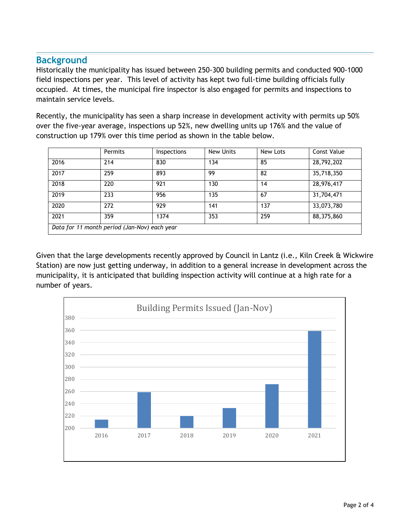# **Background**

Historically the municipality has issued between 250-300 building permits and conducted 900-1000 field inspections per year. This level of activity has kept two full-time building officials fully occupied. At times, the municipal fire inspector is also engaged for permits and inspections to maintain service levels.

Recently, the municipality has seen a sharp increase in development activity with permits up 50% over the five-year average, inspections up 52%, new dwelling units up 176% and the value of construction up 179% over this time period as shown in the table below.

|                                              | Permits | Inspections | New Units | New Lots | Const Value |  |
|----------------------------------------------|---------|-------------|-----------|----------|-------------|--|
| 2016                                         | 214     | 830         | 134       | 85       | 28,792,202  |  |
| 2017                                         | 259     | 893         | 99        | 82       | 35,718,350  |  |
| 2018                                         | 220     | 921         | 130       | 14       | 28,976,417  |  |
| 2019                                         | 233     | 956         | 135       | 67       | 31,704,471  |  |
| 2020                                         | 272     | 929         | 141       | 137      | 33,073,780  |  |
| 2021                                         | 359     | 1374        | 353       | 259      | 88,375,860  |  |
| Data for 11 month period (Jan-Nov) each year |         |             |           |          |             |  |

Given that the large developments recently approved by Council in Lantz (i.e., Kiln Creek & Wickwire Station) are now just getting underway, in addition to a general increase in development across the municipality, it is anticipated that building inspection activity will continue at a high rate for a number of years.

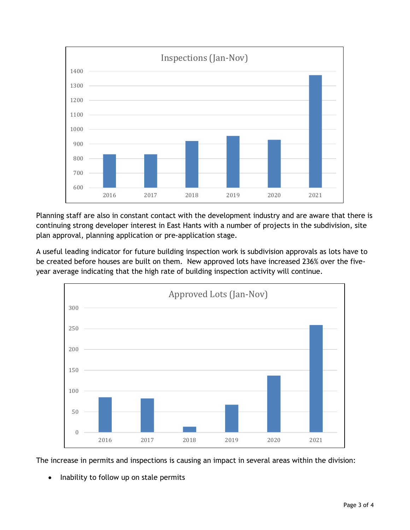

Planning staff are also in constant contact with the development industry and are aware that there is continuing strong developer interest in East Hants with a number of projects in the subdivision, site plan approval, planning application or pre-application stage.

A useful leading indicator for future building inspection work is subdivision approvals as lots have to be created before houses are built on them. New approved lots have increased 236% over the fiveyear average indicating that the high rate of building inspection activity will continue.



The increase in permits and inspections is causing an impact in several areas within the division:

• Inability to follow up on stale permits